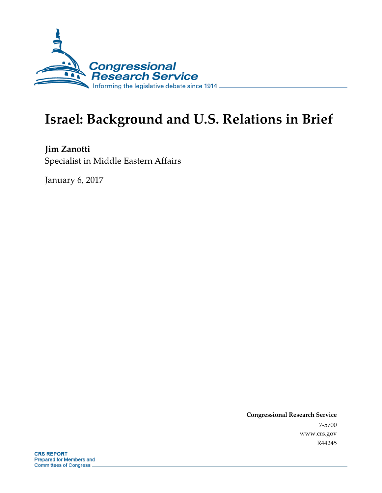

# **Israel: Background and U.S. Relations in Brief**

**Jim Zanotti** Specialist in Middle Eastern Affairs

January 6, 2017

**Congressional Research Service** 7-5700 www.crs.gov R44245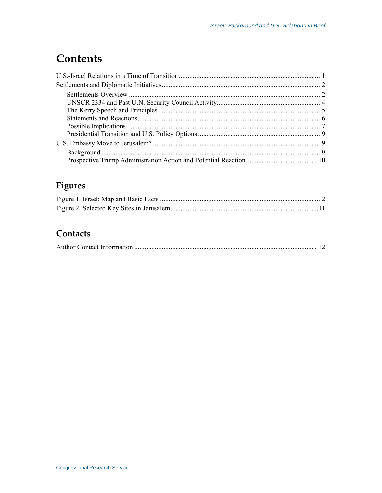## **Contents**

### Figures

### Contacts

|--|--|--|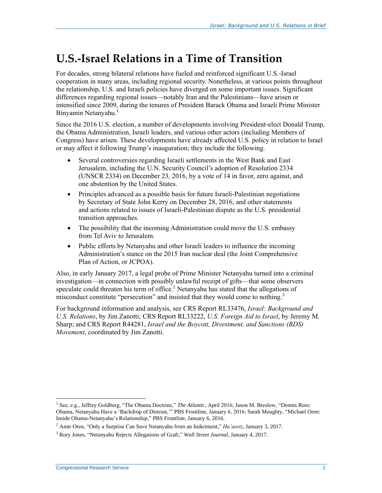## **U.S.-Israel Relations in a Time of Transition**

For decades, strong bilateral relations have fueled and reinforced significant U.S.-Israel cooperation in many areas, including regional security. Nonetheless, at various points throughout the relationship, U.S. and Israeli policies have diverged on some important issues. Significant differences regarding regional issues—notably Iran and the Palestinians—have arisen or intensified since 2009, during the tenures of President Barack Obama and Israeli Prime Minister Binyamin Netanyahu.<sup>1</sup>

Since the 2016 U.S. election, a number of developments involving President-elect Donald Trump, the Obama Administration, Israeli leaders, and various other actors (including Members of Congress) have arisen. These developments have already affected U.S. policy in relation to Israel or may affect it following Trump's inauguration; they include the following.

- Several controversies regarding Israeli settlements in the West Bank and East Jerusalem, including the U.N. Security Council's adoption of Resolution 2334 (UNSCR 2334) on December 23, 2016, by a vote of 14 in favor, zero against, and one abstention by the United States.
- Principles advanced as a possible basis for future Israeli-Palestinian negotiations by Secretary of State John Kerry on December 28, 2016, and other statements and actions related to issues of Israeli-Palestinian dispute as the U.S. presidential transition approaches.
- The possibility that the incoming Administration could move the U.S. embassy from Tel Aviv to Jerusalem.
- Public efforts by Netanyahu and other Israeli leaders to influence the incoming Administration's stance on the 2015 Iran nuclear deal (the Joint Comprehensive Plan of Action, or JCPOA).

Also, in early January 2017, a legal probe of Prime Minister Netanyahu turned into a criminal investigation—in connection with possibly unlawful receipt of gifts—that some observers speculate could threaten his term of office.<sup>2</sup> Netanyahu has stated that the allegations of misconduct constitute "persecution" and insisted that they would come to nothing.<sup>3</sup>

For background information and analysis, see CRS Report RL33476, *Israel: Background and U.S. Relations*, by Jim Zanotti; CRS Report RL33222, *U.S. Foreign Aid to Israel*, by Jeremy M. Sharp; and CRS Report R44281, *Israel and the Boycott, Divestment, and Sanctions (BDS) Movement*, coordinated by Jim Zanotti.

<sup>1</sup> See, e.g., Jeffrey Goldberg, "The Obama Doctrine," *The Atlantic*, April 2016; Jason M. Breslow, "Dennis Ross: Obama, Netanyahu Have a 'Backdrop of Distrust,'" PBS Frontline, January 6, 2016; Sarah Moughty, "Michael Oren: Inside Obama-Netanyahu's Relationship," PBS Frontline, January 6, 2016.

<sup>2</sup> Amir Oren, "Only a Surprise Can Save Netanyahu from an Indictment," *Ha'aretz*, January 3, 2017.

<sup>3</sup> Rory Jones, "Netanyahu Rejects Allegations of Graft," *Wall Street Journal*, January 4, 2017.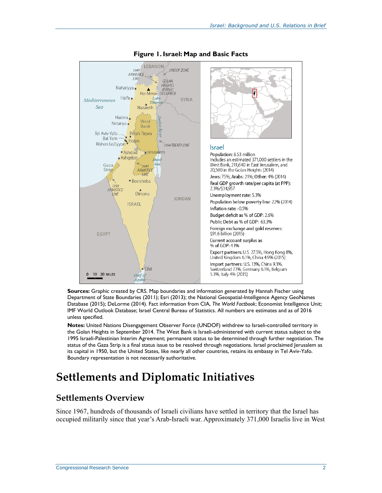

#### **Figure 1. Israel: Map and Basic Facts**

**Sources:** Graphic created by CRS. Map boundaries and information generated by Hannah Fischer using Department of State Boundaries (2011); Esri (2013); the National Geospatial-Intelligence Agency GeoNames Database (2015); DeLorme (2014). Fact information from CIA, *The World Factbook*; Economist Intelligence Unit; IMF World Outlook Database; Israel Central Bureau of Statistics. All numbers are estimates and as of 2016 unless specified.

**Notes:** United Nations Disengagement Observer Force (UNDOF) withdrew to Israeli-controlled territory in the Golan Heights in September 2014. The West Bank is Israeli-administered with current status subject to the 1995 Israeli-Palestinian Interim Agreement; permanent status to be determined through further negotiation. The status of the Gaza Strip is a final status issue to be resolved through negotiations. Israel proclaimed Jerusalem as its capital in 1950, but the United States, like nearly all other countries, retains its embassy in Tel Aviv-Yafo. Boundary representation is not necessarily authoritative.

### **Settlements and Diplomatic Initiatives**

#### **Settlements Overview**

Since 1967, hundreds of thousands of Israeli civilians have settled in territory that the Israel has occupied militarily since that year's Arab-Israeli war. Approximately 371,000 Israelis live in West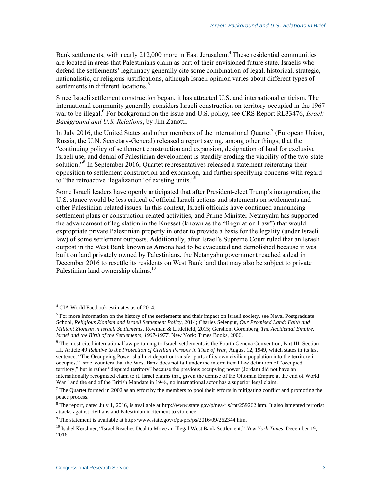Bank settlements, with nearly 212,000 more in East Jerusalem.<sup>4</sup> These residential communities are located in areas that Palestinians claim as part of their envisioned future state. Israelis who defend the settlements' legitimacy generally cite some combination of legal, historical, strategic, nationalistic, or religious justifications, although Israeli opinion varies about different types of settlements in different locations.<sup>5</sup>

Since Israeli settlement construction began, it has attracted U.S. and international criticism. The international community generally considers Israeli construction on territory occupied in the 1967 war to be illegal.<sup>6</sup> For background on the issue and U.S. policy, see CRS Report RL33476, *Israel: Background and U.S. Relations*, by Jim Zanotti.

In July 2016, the United States and other members of the international Quartet<sup>7</sup> (European Union, Russia, the U.N. Secretary-General) released a report saying, among other things, that the "continuing policy of settlement construction and expansion, designation of land for exclusive Israeli use, and denial of Palestinian development is steadily eroding the viability of the two-state solution."<sup>8</sup> In September 2016, Quartet representatives released a statement reiterating their opposition to settlement construction and expansion, and further specifying concerns with regard to "the retroactive 'legalization' of existing units."<sup>9</sup>

Some Israeli leaders have openly anticipated that after President-elect Trump's inauguration, the U.S. stance would be less critical of official Israeli actions and statements on settlements and other Palestinian-related issues. In this context, Israeli officials have continued announcing settlement plans or construction-related activities, and Prime Minister Netanyahu has supported the advancement of legislation in the Knesset (known as the "Regulation Law") that would expropriate private Palestinian property in order to provide a basis for the legality (under Israeli law) of some settlement outposts. Additionally, after Israel's Supreme Court ruled that an Israeli outpost in the West Bank known as Amona had to be evacuated and demolished because it was built on land privately owned by Palestinians, the Netanyahu government reached a deal in December 2016 to resettle its residents on West Bank land that may also be subject to private Palestinian land ownership claims.<sup>10</sup>

<sup>6</sup> The most-cited international law pertaining to Israeli settlements is the Fourth Geneva Convention, Part III, Section III, Article 49 *Relative to the Protection of Civilian Persons in Time of War*, August 12, 1949, which states in its last sentence, "The Occupying Power shall not deport or transfer parts of its own civilian population into the territory it occupies." Israel counters that the West Bank does not fall under the international law definition of "occupied territory," but is rather "disputed territory" because the previous occupying power (Jordan) did not have an internationally recognized claim to it. Israel claims that, given the demise of the Ottoman Empire at the end of World War I and the end of the British Mandate in 1948, no international actor has a superior legal claim.

 $\overline{a}$  $4$  CIA World Factbook estimates as of 2014.

 $<sup>5</sup>$  For more information on the history of the settlements and their impact on Israeli society, see Naval Postgraduate</sup> School, *Religious Zionism and Israeli Settlement Policy*, 2014; Charles Selengut, *Our Promised Land: Faith and Militant Zionism in Israeli Settlements*, Rowman & Littlefield, 2015; Gershom Gorenberg, *The Accidental Empire: Israel and the Birth of the Settlements, 1967-1977*, New York: Times Books, 2006.

 $7$  The Quartet formed in 2002 as an effort by the members to pool their efforts in mitigating conflict and promoting the peace process.

<sup>&</sup>lt;sup>8</sup> The report, dated July 1, 2016, is available at http://www.state.gov/p/nea/rls/rpt/259262.htm. It also lamented terrorist attacks against civilians and Palestinian incitement to violence.

<sup>&</sup>lt;sup>9</sup> The statement is available at http://www.state.gov/r/pa/prs/ps/2016/09/262344.htm.

<sup>10</sup> Isabel Kershner, "Israel Reaches Deal to Move an Illegal West Bank Settlement," *New York Times*, December 19, 2016.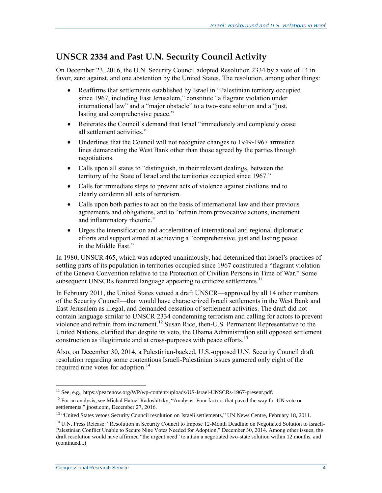#### **UNSCR 2334 and Past U.N. Security Council Activity**

On December 23, 2016, the U.N. Security Council adopted Resolution 2334 by a vote of 14 in favor, zero against, and one abstention by the United States. The resolution, among other things:

- Reaffirms that settlements established by Israel in "Palestinian territory occupied since 1967, including East Jerusalem," constitute "a flagrant violation under international law" and a "major obstacle" to a two-state solution and a "just, lasting and comprehensive peace."
- Reiterates the Council's demand that Israel "immediately and completely cease all settlement activities."
- Underlines that the Council will not recognize changes to 1949-1967 armistice lines demarcating the West Bank other than those agreed by the parties through negotiations.
- Calls upon all states to "distinguish, in their relevant dealings, between the territory of the State of Israel and the territories occupied since 1967."
- Calls for immediate steps to prevent acts of violence against civilians and to clearly condemn all acts of terrorism.
- Calls upon both parties to act on the basis of international law and their previous agreements and obligations, and to "refrain from provocative actions, incitement and inflammatory rhetoric."
- Urges the intensification and acceleration of international and regional diplomatic efforts and support aimed at achieving a "comprehensive, just and lasting peace in the Middle East."

In 1980, UNSCR 465, which was adopted unanimously, had determined that Israel's practices of settling parts of its population in territories occupied since 1967 constituted a "flagrant violation of the Geneva Convention relative to the Protection of Civilian Persons in Time of War." Some subsequent UNSCRs featured language appearing to criticize settlements.<sup>11</sup>

In February 2011, the United States vetoed a draft UNSCR—approved by all 14 other members of the Security Council—that would have characterized Israeli settlements in the West Bank and East Jerusalem as illegal, and demanded cessation of settlement activities. The draft did not contain language similar to UNSCR 2334 condemning terrorism and calling for actors to prevent violence and refrain from incitement.<sup>12</sup> Susan Rice, then-U.S. Permanent Representative to the United Nations, clarified that despite its veto, the Obama Administration still opposed settlement construction as illegitimate and at cross-purposes with peace efforts.<sup>13</sup>

Also, on December 30, 2014, a Palestinian-backed, U.S.-opposed U.N. Security Council draft resolution regarding some contentious Israeli-Palestinian issues garnered only eight of the required nine votes for adoption. 14

<sup>&</sup>lt;sup>11</sup> See, e.g., https://peacenow.org/WP/wp-content/uploads/US-Israel-UNSCRs-1967-present.pdf.

<sup>&</sup>lt;sup>12</sup> For an analysis, see Michal Hatuel Radoshitzky, "Analysis: Four factors that paved the way for UN vote on settlements," jpost.com, December 27, 2016.

<sup>&</sup>lt;sup>13</sup> "United States vetoes Security Council resolution on Israeli settlements," UN News Centre, February 18, 2011.

<sup>&</sup>lt;sup>14</sup> U.N. Press Release: "Resolution in Security Council to Impose 12-Month Deadline on Negotiated Solution to Israeli-Palestinian Conflict Unable to Secure Nine Votes Needed for Adoption," December 30, 2014. Among other issues, the draft resolution would have affirmed "the urgent need" to attain a negotiated two-state solution within 12 months, and (continued...)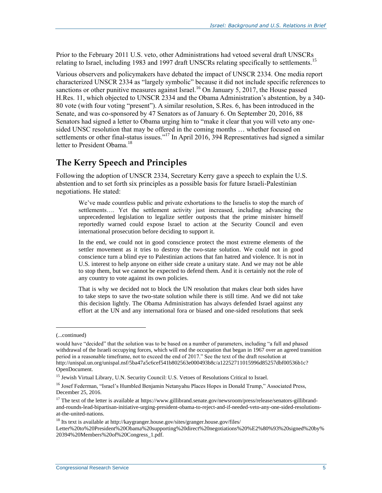Prior to the February 2011 U.S. veto, other Administrations had vetoed several draft UNSCRs relating to Israel, including 1983 and 1997 draft UNSCRs relating specifically to settlements.<sup>15</sup>

Various observers and policymakers have debated the impact of UNSCR 2334. One media report characterized UNSCR 2334 as "largely symbolic" because it did not include specific references to sanctions or other punitive measures against Israel.<sup>16</sup> On January 5, 2017, the House passed H.Res. 11, which objected to UNSCR 2334 and the Obama Administration's abstention, by a 340- 80 vote (with four voting "present"). A similar resolution, S.Res. 6, has been introduced in the Senate, and was co-sponsored by 47 Senators as of January 6. On September 20, 2016, 88 Senators had signed a letter to Obama urging him to "make it clear that you will veto any onesided UNSC resolution that may be offered in the coming months … whether focused on settlements or other final-status issues."<sup>17</sup> In April 2016, 394 Representatives had signed a similar letter to President Obama.<sup>18</sup>

#### **The Kerry Speech and Principles**

Following the adoption of UNSCR 2334, Secretary Kerry gave a speech to explain the U.S. abstention and to set forth six principles as a possible basis for future Israeli-Palestinian negotiations. He stated:

We've made countless public and private exhortations to the Israelis to stop the march of settlements…. Yet the settlement activity just increased, including advancing the unprecedented legislation to legalize settler outposts that the prime minister himself reportedly warned could expose Israel to action at the Security Council and even international prosecution before deciding to support it.

In the end, we could not in good conscience protect the most extreme elements of the settler movement as it tries to destroy the two-state solution. We could not in good conscience turn a blind eye to Palestinian actions that fan hatred and violence. It is not in U.S. interest to help anyone on either side create a unitary state. And we may not be able to stop them, but we cannot be expected to defend them. And it is certainly not the role of any country to vote against its own policies.

That is why we decided not to block the UN resolution that makes clear both sides have to take steps to save the two-state solution while there is still time. And we did not take this decision lightly. The Obama Administration has always defended Israel against any effort at the UN and any international fora or biased and one-sided resolutions that seek

<sup>(...</sup>continued)

would have "decided" that the solution was to be based on a number of parameters, including "a full and phased withdrawal of the Israeli occupying forces, which will end the occupation that began in 1967 over an agreed transition period in a reasonable timeframe, not to exceed the end of 2017." See the text of the draft resolution at http://unispal.un.org/unispal.nsf/5ba47a5c6cef541b802563e000493b8c/a12252711015996d85257dbf00536b1c? OpenDocument.

<sup>&</sup>lt;sup>15</sup> Jewish Virtual Library, U.N. Security Council: U.S. Vetoes of Resolutions Critical to Israel.

<sup>&</sup>lt;sup>16</sup> Josef Federman, "Israel's Humbled Benjamin Netanyahu Places Hopes in Donald Trump," Associated Press, December 25, 2016.

<sup>&</sup>lt;sup>17</sup> The text of the letter is available at https://www.gillibrand.senate.gov/newsroom/press/release/senators-gillibrandand-rounds-lead-bipartisan-initiative-urging-president-obama-to-reject-and-if-needed-veto-any-one-sided-resolutionsat-the-united-nations.

<sup>18</sup> Its text is available at http://kaygranger.house.gov/sites/granger.house.gov/files/

Letter%20to%20President%20Obama%20supporting%20direct%20negotiations%20%E2%80%93%20signed%20by% 20394%20Members%20of%20Congress\_1.pdf.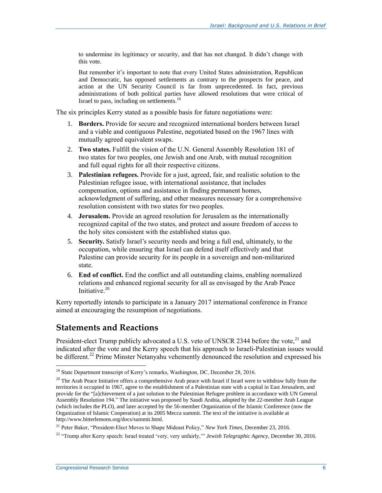to undermine its legitimacy or security, and that has not changed. It didn't change with this vote.

But remember it's important to note that every United States administration, Republican and Democratic, has opposed settlements as contrary to the prospects for peace, and action at the UN Security Council is far from unprecedented. In fact, previous administrations of both political parties have allowed resolutions that were critical of Israel to pass, including on settlements.<sup>19</sup>

The six principles Kerry stated as a possible basis for future negotiations were:

- 1. **Borders.** Provide for secure and recognized international borders between Israel and a viable and contiguous Palestine, negotiated based on the 1967 lines with mutually agreed equivalent swaps.
- 2. **Two states.** Fulfill the vision of the U.N. General Assembly Resolution 181 of two states for two peoples, one Jewish and one Arab, with mutual recognition and full equal rights for all their respective citizens.
- 3. **Palestinian refugees.** Provide for a just, agreed, fair, and realistic solution to the Palestinian refugee issue, with international assistance, that includes compensation, options and assistance in finding permanent homes, acknowledgment of suffering, and other measures necessary for a comprehensive resolution consistent with two states for two peoples.
- 4. **Jerusalem.** Provide an agreed resolution for Jerusalem as the internationally recognized capital of the two states, and protect and assure freedom of access to the holy sites consistent with the established status quo.
- 5. **Security.** Satisfy Israel's security needs and bring a full end, ultimately, to the occupation, while ensuring that Israel can defend itself effectively and that Palestine can provide security for its people in a sovereign and non-militarized state.
- 6. **End of conflict.** End the conflict and all outstanding claims, enabling normalized relations and enhanced regional security for all as envisaged by the Arab Peace Initiative.<sup>20</sup>

Kerry reportedly intends to participate in a January 2017 international conference in France aimed at encouraging the resumption of negotiations.

#### **Statements and Reactions**

President-elect Trump publicly advocated a U.S. veto of UNSCR 2344 before the vote,<sup>21</sup> and indicated after the vote and the Kerry speech that his approach to Israeli-Palestinian issues would be different.<sup>22</sup> Prime Minster Netanyahu vehemently denounced the resolution and expressed his

<sup>&</sup>lt;sup>19</sup> State Department transcript of Kerry's remarks, Washington, DC, December 28, 2016.

 $20$  The Arab Peace Initiative offers a comprehensive Arab peace with Israel if Israel were to withdraw fully from the territories it occupied in 1967, agree to the establishment of a Palestinian state with a capital in East Jerusalem, and provide for the "[a]chievement of a just solution to the Palestinian Refugee problem in accordance with UN General Assembly Resolution 194." The initiative was proposed by Saudi Arabia, adopted by the 22-member Arab League (which includes the PLO), and later accepted by the 56-member Organization of the Islamic Conference (now the Organization of Islamic Cooperation) at its 2005 Mecca summit. The text of the initiative is available at http://www.bitterlemons.org/docs/summit.html.

<sup>21</sup> Peter Baker, "President-Elect Moves to Shape Mideast Policy," *New York Times*, December 23, 2016.

<sup>22</sup> "Trump after Kerry speech: Israel treated 'very, very unfairly,'" *Jewish Telegraphic Agency*, December 30, 2016.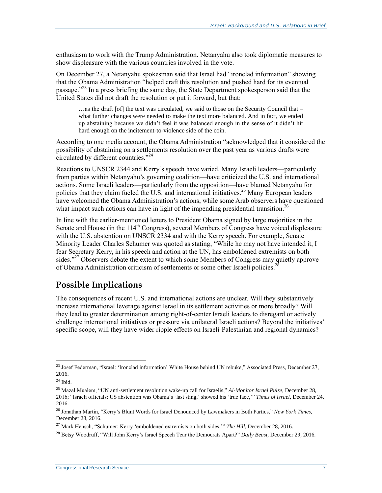enthusiasm to work with the Trump Administration. Netanyahu also took diplomatic measures to show displeasure with the various countries involved in the vote.

On December 27, a Netanyahu spokesman said that Israel had "ironclad information" showing that the Obama Administration "helped craft this resolution and pushed hard for its eventual passage."<sup>23</sup> In a press briefing the same day, the State Department spokesperson said that the United States did not draft the resolution or put it forward, but that:

 $\ldots$  as the draft [of] the text was circulated, we said to those on the Security Council that – what further changes were needed to make the text more balanced. And in fact, we ended up abstaining because we didn't feel it was balanced enough in the sense of it didn't hit hard enough on the incitement-to-violence side of the coin.

According to one media account, the Obama Administration "acknowledged that it considered the possibility of abstaining on a settlements resolution over the past year as various drafts were circulated by different countries."<sup>24</sup>

Reactions to UNSCR 2344 and Kerry's speech have varied. Many Israeli leaders—particularly from parties within Netanyahu's governing coalition—have criticized the U.S. and international actions. Some Israeli leaders—particularly from the opposition—have blamed Netanyahu for policies that they claim fueled the U.S. and international initiatives.<sup>25</sup> Many European leaders have welcomed the Obama Administration's actions, while some Arab observers have questioned what impact such actions can have in light of the impending presidential transition.<sup>26</sup>

In line with the earlier-mentioned letters to President Obama signed by large majorities in the Senate and House (in the 114<sup>th</sup> Congress), several Members of Congress have voiced displeasure with the U.S. abstention on UNSCR 2334 and with the Kerry speech. For example, Senate Minority Leader Charles Schumer was quoted as stating, "While he may not have intended it, I fear Secretary Kerry, in his speech and action at the UN, has emboldened extremists on both sides."<sup>27</sup> Observers debate the extent to which some Members of Congress may quietly approve of Obama Administration criticism of settlements or some other Israeli policies.<sup>2</sup>

### **Possible Implications**

The consequences of recent U.S. and international actions are unclear. Will they substantively increase international leverage against Israel in its settlement activities or more broadly? Will they lead to greater determination among right-of-center Israeli leaders to disregard or actively challenge international initiatives or pressure via unilateral Israeli actions? Beyond the initiatives' specific scope, will they have wider ripple effects on Israeli-Palestinian and regional dynamics?

 $\overline{a}$ <sup>23</sup> Josef Federman, "Israel: 'Ironclad information' White House behind UN rebuke," Associated Press, December 27, 2016.

 $^\mathrm{24}$  Ibid.

<sup>25</sup> Mazal Mualem, "UN anti-settlement resolution wake-up call for Israelis," *Al-Monitor Israel Pulse*, December 28, 2016; "Israeli officials: US abstention was Obama's 'last sting,' showed his 'true face,'" *Times of Israel*, December 24, 2016.

<sup>26</sup> Jonathan Martin, "Kerry's Blunt Words for Israel Denounced by Lawmakers in Both Parties," *New York Times*, December 28, 2016.

<sup>&</sup>lt;sup>27</sup> Mark Hensch, "Schumer: Kerry 'emboldened extremists on both sides," *The Hill*, December 28, 2016.

<sup>28</sup> Betsy Woodruff, "Will John Kerry's Israel Speech Tear the Democrats Apart?" *Daily Beast*, December 29, 2016.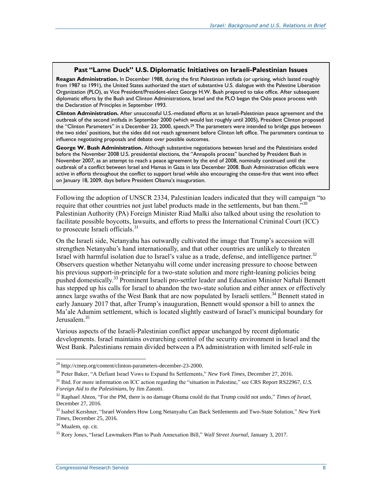#### **Past "Lame Duck" U.S. Diplomatic Initiatives on Israeli-Palestinian Issues**

**Reagan Administration.** In December 1988, during the first Palestinian intifada (or uprising, which lasted roughly from 1987 to 1991), the United States authorized the start of substantive U.S. dialogue with the Palestine Liberation Organization (PLO), as Vice President/President-elect George H.W. Bush prepared to take office. After subsequent diplomatic efforts by the Bush and Clinton Administrations, Israel and the PLO began the Oslo peace process with the Declaration of Principles in September 1993.

**Clinton Administration.** After unsuccessful U.S.-mediated efforts at an Israeli-Palestinian peace agreement and the outbreak of the second intifada in September 2000 (which would last roughly until 2005), President Clinton proposed the "Clinton Parameters" in a December 23, 2000, speech.<sup>29</sup> The parameters were intended to bridge gaps between the two sides' positions, but the sides did not reach agreement before Clinton left office. The parameters continue to influence negotiating proposals and debate over possible outcomes.

**George W. Bush Administration.** Although substantive negotiations between Israel and the Palestinians ended before the November 2008 U.S. presidential elections, the "Annapolis process" launched by President Bush in November 2007, as an attempt to reach a peace agreement by the end of 2008, nominally continued until the outbreak of a conflict between Israel and Hamas in Gaza in late December 2008. Bush Administration officials were active in efforts throughout the conflict to support Israel while also encouraging the cease-fire that went into effect on January 18, 2009, days before President Obama's inauguration.

Following the adoption of UNSCR 2334, Palestinian leaders indicated that they will campaign "to require that other countries not just label products made in the settlements, but ban them."<sup>30</sup> Palestinian Authority (PA) Foreign Minister Riad Malki also talked about using the resolution to facilitate possible boycotts, lawsuits, and efforts to press the International Criminal Court (ICC) to prosecute Israeli officials.<sup>31</sup>

On the Israeli side, Netanyahu has outwardly cultivated the image that Trump's accession will strengthen Netanyahu's hand internationally, and that other countries are unlikely to threaten Israel with harmful isolation due to Israel's value as a trade, defense, and intelligence partner.<sup>32</sup> Observers question whether Netanyahu will come under increasing pressure to choose between his previous support-in-principle for a two-state solution and more right-leaning policies being pushed domestically.<sup>33</sup> Prominent Israeli pro-settler leader and Education Minister Naftali Bennett has stepped up his calls for Israel to abandon the two-state solution and either annex or effectively annex large swaths of the West Bank that are now populated by Israeli settlers.<sup>34</sup> Bennett stated in early January 2017 that, after Trump's inauguration, Bennett would sponsor a bill to annex the Ma'ale Adumim settlement, which is located slightly eastward of Israel's municipal boundary for Jerusalem.<sup>35</sup>

Various aspects of the Israeli-Palestinian conflict appear unchanged by recent diplomatic developments. Israel maintains overarching control of the security environment in Israel and the West Bank. Palestinians remain divided between a PA administration with limited self-rule in

<sup>&</sup>lt;sup>29</sup> http://cmep.org/content/clinton-parameters-december-23-2000.

<sup>30</sup> Peter Baker, "A Defiant Israel Vows to Expand Its Settlements," *New York Times*, December 27, 2016.

<sup>&</sup>lt;sup>31</sup> Ibid. For more information on ICC action regarding the "situation in Palestine," see CRS Report RS22967, *U.S. Foreign Aid to the Palestinians*, by Jim Zanotti.

<sup>32</sup> Raphael Ahren, "For the PM, there is no damage Obama could do that Trump could not undo," *Times of Israel*, December 27, 2016.

<sup>33</sup> Isabel Kershner, "Israel Wonders How Long Netanyahu Can Back Settlements and Two-State Solution," *New York Times*, December 25, 2016.

<sup>&</sup>lt;sup>34</sup> Mualem, op. cit.

<sup>35</sup> Rory Jones, "Israel Lawmakers Plan to Push Annexation Bill," *Wall Street Journal*, January 3, 2017.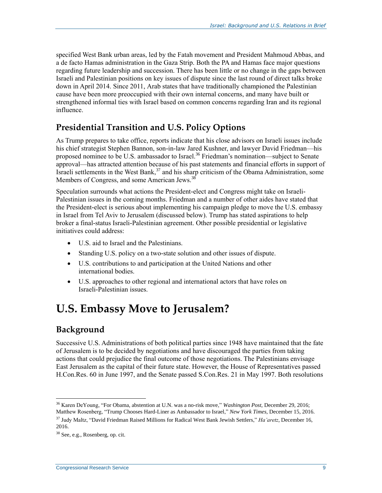specified West Bank urban areas, led by the Fatah movement and President Mahmoud Abbas, and a de facto Hamas administration in the Gaza Strip. Both the PA and Hamas face major questions regarding future leadership and succession. There has been little or no change in the gaps between Israeli and Palestinian positions on key issues of dispute since the last round of direct talks broke down in April 2014. Since 2011, Arab states that have traditionally championed the Palestinian cause have been more preoccupied with their own internal concerns, and many have built or strengthened informal ties with Israel based on common concerns regarding Iran and its regional influence.

### **Presidential Transition and U.S. Policy Options**

As Trump prepares to take office, reports indicate that his close advisors on Israeli issues include his chief strategist Stephen Bannon, son-in-law Jared Kushner, and lawyer David Friedman—his proposed nominee to be U.S. ambassador to Israel.<sup>36</sup> Friedman's nomination—subject to Senate approval—has attracted attention because of his past statements and financial efforts in support of Israeli settlements in the West Bank, $37$  and his sharp criticism of the Obama Administration, some Members of Congress, and some American Jews.<sup>38</sup>

Speculation surrounds what actions the President-elect and Congress might take on Israeli-Palestinian issues in the coming months. Friedman and a number of other aides have stated that the President-elect is serious about implementing his campaign pledge to move the U.S. embassy in Israel from Tel Aviv to Jerusalem (discussed below). Trump has stated aspirations to help broker a final-status Israeli-Palestinian agreement. Other possible presidential or legislative initiatives could address:

- U.S. aid to Israel and the Palestinians.
- Standing U.S. policy on a two-state solution and other issues of dispute.
- U.S. contributions to and participation at the United Nations and other international bodies.
- U.S. approaches to other regional and international actors that have roles on Israeli-Palestinian issues.

## **U.S. Embassy Move to Jerusalem?**

### **Background**

Successive U.S. Administrations of both political parties since 1948 have maintained that the fate of Jerusalem is to be decided by negotiations and have discouraged the parties from taking actions that could prejudice the final outcome of those negotiations. The Palestinians envisage East Jerusalem as the capital of their future state. However, the House of Representatives passed H.Con.Res. 60 in June 1997, and the Senate passed S.Con.Res. 21 in May 1997. Both resolutions

 $\overline{a}$ <sup>36</sup> Karen DeYoung, "For Obama, abstention at U.N. was a no-risk move," *Washington Post*, December 29, 2016; Matthew Rosenberg, "Trump Chooses Hard-Liner as Ambassador to Israel," *New York Times*, December 15, 2016.

<sup>37</sup> Judy Maltz, "David Friedman Raised Millions for Radical West Bank Jewish Settlers," *Ha'aretz*, December 16, 2016.

<sup>38</sup> See, e.g., Rosenberg, op. cit.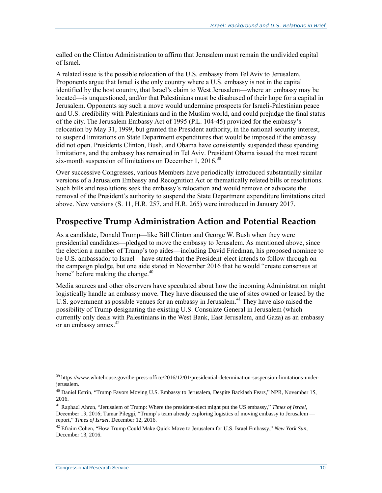called on the Clinton Administration to affirm that Jerusalem must remain the undivided capital of Israel.

A related issue is the possible relocation of the U.S. embassy from Tel Aviv to Jerusalem. Proponents argue that Israel is the only country where a U.S. embassy is not in the capital identified by the host country, that Israel's claim to West Jerusalem—where an embassy may be located—is unquestioned, and/or that Palestinians must be disabused of their hope for a capital in Jerusalem. Opponents say such a move would undermine prospects for Israeli-Palestinian peace and U.S. credibility with Palestinians and in the Muslim world, and could prejudge the final status of the city. The Jerusalem Embassy Act of 1995 (P.L. 104-45) provided for the embassy's relocation by May 31, 1999, but granted the President authority, in the national security interest, to suspend limitations on State Department expenditures that would be imposed if the embassy did not open. Presidents Clinton, Bush, and Obama have consistently suspended these spending limitations, and the embassy has remained in Tel Aviv. President Obama issued the most recent six-month suspension of limitations on December 1,  $2016$ <sup>39</sup>

Over successive Congresses, various Members have periodically introduced substantially similar versions of a Jerusalem Embassy and Recognition Act or thematically related bills or resolutions. Such bills and resolutions seek the embassy's relocation and would remove or advocate the removal of the President's authority to suspend the State Department expenditure limitations cited above. New versions (S. 11, H.R. 257, and H.R. 265) were introduced in January 2017.

#### **Prospective Trump Administration Action and Potential Reaction**

As a candidate, Donald Trump—like Bill Clinton and George W. Bush when they were presidential candidates—pledged to move the embassy to Jerusalem. As mentioned above, since the election a number of Trump's top aides—including David Friedman, his proposed nominee to be U.S. ambassador to Israel—have stated that the President-elect intends to follow through on the campaign pledge, but one aide stated in November 2016 that he would "create consensus at home" before making the change.<sup>40</sup>

Media sources and other observers have speculated about how the incoming Administration might logistically handle an embassy move. They have discussed the use of sites owned or leased by the U.S. government as possible venues for an embassy in Jerusalem.<sup>41</sup> They have also raised the possibility of Trump designating the existing U.S. Consulate General in Jerusalem (which currently only deals with Palestinians in the West Bank, East Jerusalem, and Gaza) as an embassy or an embassy annex. $42$ 

 $\overline{a}$ <sup>39</sup> https://www.whitehouse.gov/the-press-office/2016/12/01/presidential-determination-suspension-limitations-underjerusalem.

<sup>&</sup>lt;sup>40</sup> Daniel Estrin, "Trump Favors Moving U.S. Embassy to Jerusalem, Despite Backlash Fears," NPR, November 15, 2016.

<sup>41</sup> Raphael Ahren, "Jerusalem of Trump: Where the president-elect might put the US embassy," *Times of Israel*, December 13, 2016; Tamar Pileggi, "Trump's team already exploring logistics of moving embassy to Jerusalem report," *Times of Israel*, December 12, 2016.

<sup>42</sup> Efraim Cohen, "How Trump Could Make Quick Move to Jerusalem for U.S. Israel Embassy," *New York Sun*, December 13, 2016.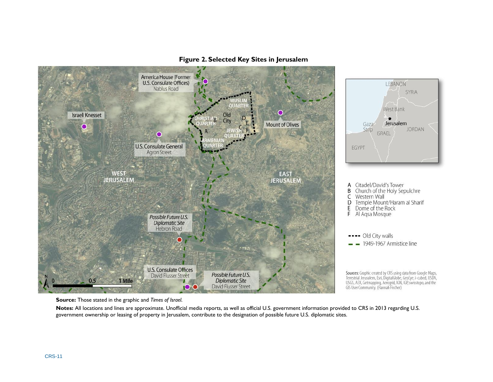

#### **Figure 2. Selected Key Sites in Jerusalem**

**Source:** Those stated in the graphic and *Times of Israel*.

**Notes:** All locations and lines are approximate. Unofficial media reports, as well as official U.S. government information provided to CRS in 2013 regarding U.S. government ownership or leasing of property in Jerusalem, contribute to the designation of possible future U.S. diplomatic sites.